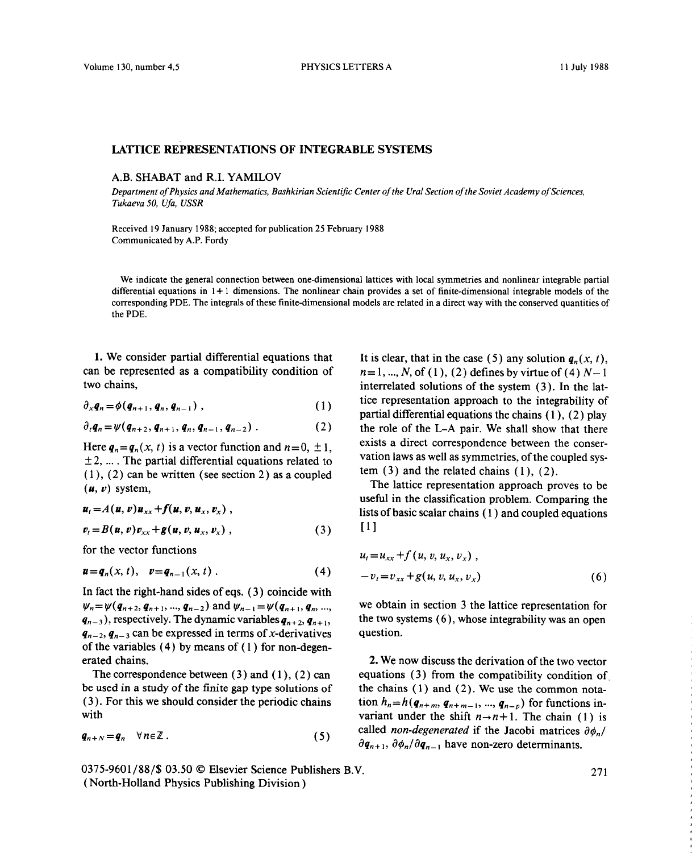## LATIICE **REPRESENTATIONS OF INTEGRABLE SYSTEMS**

## **A.B. SHABAT and R.I. YAMILOV**

*Department ofPhysics and Mathematics, Bashkirian Scientific Center ofthe Ural Section ofthe SovietAcademy ofSciences, Tukaeva 50, Ufa, USSR*

Received 19 January 1988; accepted for publication 25 February 1988 Communicated by A.P. Fordy

We indicate the general connection between one-dimensional lattices with local symmetries and nonlinear integrable partial differential equations in  $1+1$  dimensions. The nonlinear chain provides a set of finite-dimensional integrable models of the corresponding PDE. The integrals of these finite-dimensional models are related in a direct way with the conserved quantities of the PDE.

can be represented as a compatibility condition of  $n=1, ..., N$ , of (1), (2) defines by virtue of (4)  $N-1$ 

$$
\partial_x \boldsymbol{q}_n = \phi(\boldsymbol{q}_{n+1}, \boldsymbol{q}_n, \boldsymbol{q}_{n-1}), \qquad (1)
$$

$$
\partial_t q_n = \psi(q_{n+2}, q_{n+1}, q_n, q_{n-1}, q_{n-2}) \,. \tag{2}
$$

 $\pm$ 2, ... The partial differential equations related to value in 13 and the related chains (1), (2). (1), (2) can be written (see section 2) as a coupled term (3) and the related chains (1), (2).<br>  $(u, v)$  system,<br>
The lattice representation approach proves to be

$$
\begin{aligned}\n\mathbf{u}_t &= A(\mathbf{u}, \mathbf{v}) \mathbf{u}_{xx} + f(\mathbf{u}, \mathbf{v}, \mathbf{u}_x, \mathbf{v}_x) \,, \\
\mathbf{v}_t &= B(\mathbf{u}, \mathbf{v}) \mathbf{v}_{xx} + g(\mathbf{u}, \mathbf{v}, \mathbf{u}_x, \mathbf{v}_x) \,,\n\end{aligned}\n\tag{3}
$$

for the vector functions

$$
\boldsymbol{u} = \boldsymbol{q}_n(x, t), \quad \boldsymbol{v} = \boldsymbol{q}_{n-1}(x, t) \ . \tag{4}
$$

In fact the right-hand sides of eqs.  $(3)$  coincide with  $\psi_n = \psi(q_{n+2}, q_{n+1}, ..., q_{n-2})$  and  $\psi_{n-1} = \psi(q_{n+1}, q_n, ...,$  we obtain in section 3 the lattice representation for  $q_{n-3}$ ), respectively. The dynamic variables  $q_{n+2}, q_{n+1}$ , the two systems (6), whose integrability was an o  $q_{n-3}$ ), respectively. The dynamic variables  $q_{n+2}$ ,  $q_{n+1}$ , the two sy<br> $q_{n-2}$ ,  $q_{n-3}$  can be expressed in terms of *x*-derivatives question.  $q_{n-2}, q_{n-3}$  can be expressed in terms of x-derivatives of the variables  $(4)$  by means of  $(1)$  for non-degen-<br>erated chains.

be used in a study of the finite gap type solutions of (3). For this we should consider the periodic chains (3). For this we should consider the periodic chains tion  $h_n = h(q_{n+m}, q_{n+m-1}, ..., q_{n-p})$  for functions in-<br>with variant under the shift  $n \rightarrow n+1$ . The chain (1) is

$$
q_{n+N}=q_n \quad \forall n \in \mathbb{Z} \, . \tag{5}
$$

0375-9601/88/S 03.50 **©** Elsevier Science Publishers B.V. 271 (North-Holland Physics Publishing Division)

1. We consider partial differential equations that It is clear, that in the case (5) any solution  $q_n(x, t)$ , two chains, interrelated solutions of the system (3). In the lat tice representation approach to the integrability of  $(1)$  . The expressivation approach to the integration of  $(1)$ ,  $(2)$  play **2. 2.** *charge the L–A pair.* **We shall show that there exists a direct correspondence between the conser-**Here  $q_n = q_n(x, t)$  is a vector function and  $n = 0, \pm 1,$ <br>  $+2$  The partial differential equations related to vation laws as well as symmetries, of the coupled sys-

(u,  $v$ ) system,<br>  $u = A(u, v)$  system,<br>  $u = A(u, v)$  and  $v = A(v, v)$  and  $v = A(v, v)$  and  $v = A(v, v)$  are lattice representation approach proves to be lists of basic scalar chains (1) and coupled equations

$$
u_t = u_{xx} + f(u, v, u_x, v_x),
$$
  
 
$$
u = q_n(x, t), \quad v = q_{n-1}(x, t).
$$
 (4) 
$$
-v_t = v_{xx} + g(u, v, u_x, v_x)
$$
 (6)

ated chains.<br> **2.** We now discuss the derivation of the two vector<br>
The correspondence between (3) and (1), (2) can equations (3) from the compatibility condition of equations (3) from the compatibility condition of the chains (1) and (2). We use the common notavariant under the shift  $n \rightarrow n+1$ . The chain (1) is called *non-degenerated* if the Jacobi matrices  $\partial \phi_n$ /  $\partial q_{n+1}, \partial \phi_n / \partial q_{n-1}$  have non-zero determinants.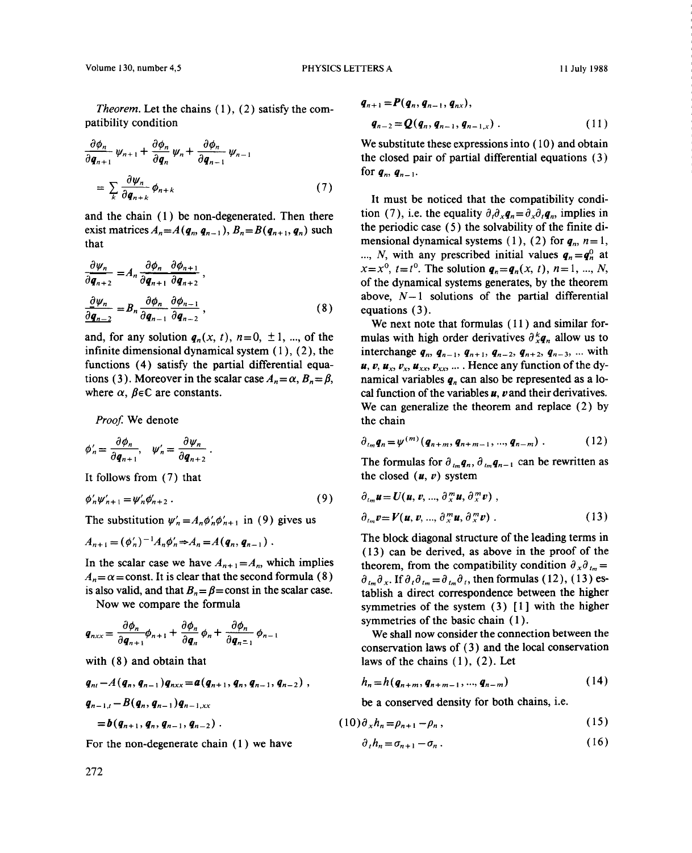Theorem. Let the chains  $(1)$ ,  $(2)$  satisfy the compatibility condition

$$
\frac{\partial \phi_n}{\partial q_{n+1}} \psi_{n+1} + \frac{\partial \phi_n}{\partial q_n} \psi_n + \frac{\partial \phi_n}{\partial q_{n-1}} \psi_{n-1}
$$
\n
$$
= \sum_{k} \frac{\partial \psi_n}{\partial q_{n+k}} \phi_{n+k} \tag{7}
$$

exist matrices  $A_n = A(q_n, q_{n-1}), B_n = B(q_{n+1}, q_n)$  such the periodic case (5) the solvability of the finite dithat mensional dynamical systems (1), (2) for  $q_n$ ,  $n=1$ ,

$$
\frac{\partial \psi_n}{\partial q_{n+2}} = A_n \frac{\partial \phi_n}{\partial q_{n+1}} \frac{\partial \phi_{n+1}}{\partial q_{n+2}},
$$
  

$$
\frac{\partial \psi_n}{\partial q_{n-2}} = B_n \frac{\partial \phi_n}{\partial q_{n-1}} \frac{\partial \phi_{n-1}}{\partial q_{n-2}},
$$
(8)

infinite dimensional dynamical system (1), (2), the interchange  $q_n$ ,  $q_{n-1}$ ,  $q_{n+1}$ ,  $q_{n-2}$ ,  $q_{n+2}$ ,  $q_{n-3}$ , ... with functions (4) satisfy the partial differential equa-<br> $u, v, u_x, v_y, u_y, v_{xx}$ ... Hence any functi functions (4) satisfy the partial differential equa-<br>tions (3). Moreover in the scalar case  $A_n = \alpha$ ,  $B_n = \beta$ , and all partial variables q<sub>n</sub> can also be represented as a lotions (3). Moreover in the scalar case  $A_n = \alpha$ ,  $B_n = \beta$ , namical variables  $q_n$  can also be represented as a lo-<br>where  $\alpha$ ,  $\beta \in \mathbb{C}$  are constants.<br>each parabology can find the variables  $u$ ,  $v$  and their derivative

*Proof*, we denote the chain

$$
\phi'_{n} = \frac{\partial \phi_{n}}{\partial q_{n+1}}, \quad \psi'_{n} = \frac{\partial \psi_{n}}{\partial q_{n+2}}.
$$
\n
$$
\phi'_{n} = \phi^{(m)}(q_{n+m}, q_{n+m-1}, ..., q_{n-m}). \tag{12}
$$
\n
$$
\phi'_{n} = \phi^{(m)}(q_{n+m}, q_{n+m-1}, ..., q_{n-m}).
$$

$$
\phi'_n\psi'_{n+1}=\psi'_n\phi'_{n+2}.\tag{9}
$$

$$
A_{n+1}=(\phi'_n)^{-1}A_n\phi'_n\Rightarrow A_n=A(q_n,q_{n-1}).
$$

In the scalar case we have  $A_{n+1} = A_n$ , which implies  $A_n = \alpha$  = const. It is clear that the second formula (8)

$$
q_{n \times x} = \frac{\partial \phi_n}{\partial q_{n+1}} \phi_{n+1} + \frac{\partial \phi_n}{\partial q_n} \phi_n + \frac{\partial \phi_n}{\partial q_{n-1}} \phi_{n-1}
$$

$$
q_{ni} - A(q_n, q_{n-1}) q_{nxx} = a(q_{n+1}, q_n, q_{n-1}, q_{n-2}),
$$
  
\n
$$
q_{n-1,i} - B(q_n, q_{n-1}) q_{n-1,xx}
$$
  
\n
$$
= b(q_{n+1}, q_{n-2})
$$
  
\n
$$
= b(q_{n+1}, q_{n-1}) q_{n-1,xx}
$$
  
\n
$$
= b(q_{n+1}, q_{n-1}) q_{n-1,xx}
$$
  
\n
$$
= b(q_{n+1}, q_{n-1}) q_{n-1,xx}
$$
  
\n
$$
= b(q_{n+1}, q_{n-1}) q_{n-1,xx}
$$
  
\n
$$
(14)
$$
  
\nbe a conserved density for both chains, i.e.

For the non-degenerate chain (1) we have *ô i* 

*Theorem.* Let the chains (1), (2) satisfy the com-  
patibility condition 
$$
q_{n-2} = Q(q_n, q_{n-1}, q_{n-1,x})
$$
 (11)

 $\frac{\partial \varphi_n}{\partial \varphi_n} \psi_{n+1} + \frac{\partial \varphi_n}{\partial \varphi_n} \psi_n + \frac{\partial \varphi_n}{\partial \varphi_n} \psi_{n-1}$  the closed pair of partial differential equations (3)  $\sigma q_{n+1}$  and  $\sigma q_{n+1}$  are a set the closed pair of partial differential equations (3) for  $q_n$ ,  $q_{n-1}$ .

 $k \frac{\partial q_{n+k}}{\partial q_{n+k}}$  It must be noticed that the compatibility condi-<br>and the chain (1) be non-degenerated. Then there tion (7), i.e. the equality  $\partial_t \partial_x q_n = \partial_x \partial_t q_n$ , implies in that mensional dynamical systems (1), (2) for  $q_n$ ,  $n = 1$ ,<br>  $N$  with any prescribed initial values  $q = q^0$  at *N*, with any prescribed initial values  $q_n = q_n^0$  at  $x = x^0$ ,  $t = t^0$ . The solution  $q_n = q_n(x, t)$ ,  $n = 1, ..., N$ , of the dynamical systems generates, by the theorem<br>above,  $N-1$  solutions of the partial differential  $\frac{\partial \psi_n}{\partial t} = B_n \frac{\partial \psi_n}{\partial t} \frac{\partial \psi_{n-1}}{\partial t}$ , (8) equations (3).

We next note that formulas (11) and similar for-<br>and, for any solution  $q_n(x, t)$ ,  $n=0, \pm 1, ...$ , of the mulas with high order derivatives  $\frac{\partial^k q_n}{\partial t}$  allow us to and, for any solution  $q_n(x, t)$ ,  $n=0, \pm 1, ...$ , of the mulas with high order derivatives  $\partial_x^k q_n$  allow us to infinite dimensional dynamical system (1), (2), the interchange  $q_n$ ,  $q_{n-1}$ ,  $q_{n+1}$ ,  $q_{n-2}$ ,  $q_{n+2}$ ,  $q$ cal function of the variables  $\boldsymbol{\mu}$ ,  $\boldsymbol{\nu}$  and their derivatives. We can generalize the theorem and replace (2) by the chain

$$
\partial_{t_m} \bm{q}_n = \psi^{(m)}(\bm{q}_{n+m}, \bm{q}_{n+m-1}, ..., \bm{q}_{n-m}) \ . \tag{12}
$$

The formulas for  $\partial_{t_m} q_n$ ,  $\partial_{t_m} q_{n-1}$  can be rewritten as It follows from  $(7)$  that the closed  $(u, v)$  system

$$
\phi'_{n}\psi'_{n+1} = \psi'_{n}\phi'_{n+2}.
$$
\n
$$
\phi'_{n}\psi'_{n+1} = \psi'_{n}\phi'_{n+2}.
$$
\n
$$
\phi'_{n+1} = \psi'_{n}\phi'_{n+2}.
$$
\n
$$
\phi'_{n+1} = \phi'_{n+1}.
$$
\n
$$
\phi'_{n+1} = \phi'_{n+1}.
$$
\n
$$
\phi'_{n+1} = \phi'_{n+1}.
$$
\n
$$
\phi'_{n+1} = \phi'_{n+1}.
$$
\n
$$
\phi'_{n+1} = \phi'_{n+1}.
$$
\n
$$
\phi'_{n+1} = \phi'_{n+1}.
$$
\n
$$
\phi'_{n+1} = \phi'_{n+1}.
$$
\n
$$
\phi'_{n+1} = \phi'_{n+1}.
$$
\n
$$
\phi'_{n+1} = \phi'_{n+1}.
$$
\n
$$
\phi'_{n+1} = \phi'_{n+1}.
$$
\n
$$
\phi'_{n+1} = \phi'_{n+1}.
$$
\n
$$
\phi'_{n+1} = \phi'_{n+1}.
$$
\n
$$
\phi'_{n+1} = \phi'_{n+1}.
$$
\n
$$
\phi'_{n+1} = \phi'_{n+1}.
$$
\n
$$
\phi'_{n+1} = \phi'_{n+1}.
$$
\n
$$
\phi'_{n+1} = \phi'_{n+1}.
$$
\n
$$
\phi'_{n+1} = \phi'_{n+1}.
$$
\n
$$
\phi'_{n+1} = \phi'_{n+1}.
$$
\n
$$
\phi'_{n+1} = \phi'_{n+1}.
$$
\n
$$
\phi'_{n+1} = \phi'_{n+1}.
$$
\n
$$
\phi'_{n+1} = \phi'_{n+1}.
$$
\n
$$
\phi'_{n+1} = \phi'_{n+1}.
$$
\n
$$
\phi'_{n+1} = \phi'_{n+1}.
$$
\n
$$
\phi'_{n+1} = \phi'_{n+1}.
$$
\n
$$
\phi'_{n+1} = \phi'_{n+1}.
$$
\n
$$
\phi'_{n+1
$$

The substitution  $\psi'_n = A_n \phi'_n \phi'_{n+1}$  in (9) gives us  $\phi_{lm} v = V(u, v, ..., \phi_{X}^m u, \phi_{X}^m v)$ . (13)<br>  $A_{lm} = (\phi'')^{-1} A_{lm} \phi' - A_{l} = A(a_{lm} \phi_{lm})$  The block diagonal structure of the leading terms in  $A_{n+1} = (\phi_n)^{-1} A_n \phi_n \Rightarrow A_n = A(q_n, q_{n-1})$ .<br>(13) can be derived, as above in the proof of the theorem, from the compatibility condition  $\partial_x \partial_{t_m} =$  $A_n = \alpha$  = const. It is clear that the second formula (8)  $\partial_{i_m} \partial_x$ . If  $\partial_i \partial_{i_m} = \partial_{i_m} \partial_i$ , then formulas (12), (13) essis also valid, and that  $B_n = \beta$  = const in the scalar case. tablish a direct correspondence betwe also valid, and that  $B_n = \beta$  = const in the scalar case.<br>Now we compare the formula symmetries of the system (3) [1] with the higher symmetries of the basic chain  $(1)$ .

We shall now consider the connection between the conservation laws of (3) and the local conservation with  $(8)$  and obtain that laws of the chains  $(1), (2)$ . Let

$$
h_n = h(q_{n+m}, q_{n+m-1}, ..., q_{n-m})
$$
 (14)

be a conserved density for both chains, i.e.

$$
= b(q_{n+1}, q_n, q_{n-1}, q_{n-2}) \tag{15}
$$

$$
\partial_t h_n = \sigma_{n+1} - \sigma_n \,. \tag{16}
$$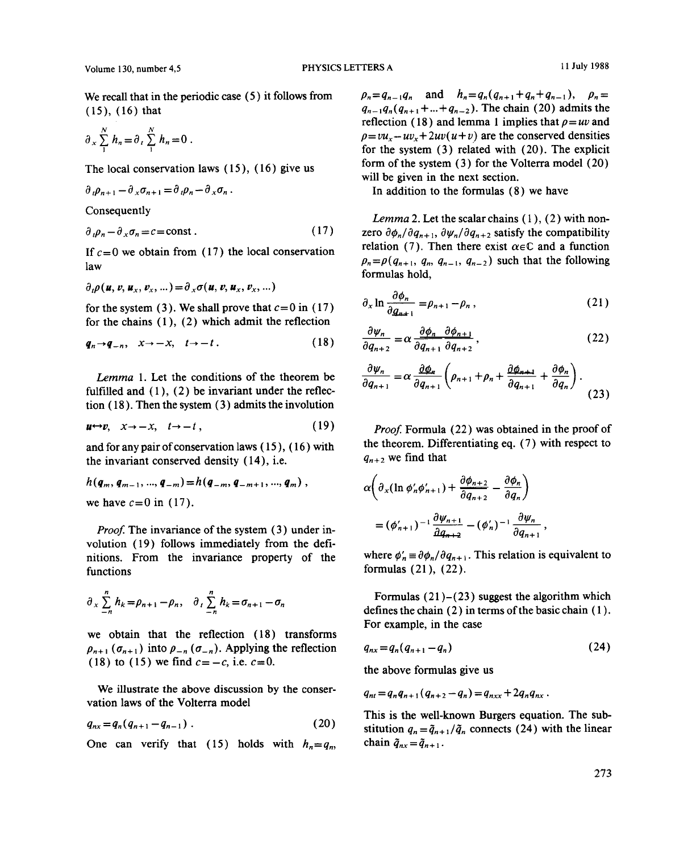$$
\partial_x \sum_{1}^{N} h_n = \partial_t \sum_{1}^{N} h_n = 0.
$$

$$
\partial_t \rho_{n+1} - \partial_x \sigma_{n+1} = \partial_t \rho_n - \partial_x \sigma_n.
$$

$$
\partial_{\nu} \rho_n - \partial_x \sigma_n = c = \text{const.} \tag{17}
$$

$$
\partial_t \rho(\boldsymbol{u}, \boldsymbol{v}, \boldsymbol{u}_x, \boldsymbol{v}_x, \ldots) = \partial_x \sigma(\boldsymbol{u}, \boldsymbol{v}, \boldsymbol{u}_x, \boldsymbol{v}_x, \ldots)
$$

for the system (3). We shall prove that  $c=0$  in (17) for the chains (1), (2) which admit the reflection

$$
\boldsymbol{q}_n \to \boldsymbol{q}_{-n}, \quad x \to -x, \quad t \to -t \ . \tag{18}
$$

*Lemma* 1. Let the conditions of the theorem be fulfilled and  $(1)$ ,  $(2)$  be invariant under the reflecfulfilled and  $(1)$ ,  $(2)$  be invariant under the reflec- (23) (23) (23) tion (18). Then the system (3) admits the involution

$$
\mathbf{u} \leftrightarrow \mathbf{v}, \quad x \to -x, \quad t \to -t \tag{19}
$$

and for any pair of conservation laws (15), (16) with the theorem. Differentiating eq. (7) the invariant conserved density (14), i.e.  $q_{n+2}$  we find that the invariant conserved density  $(14)$ , i.e.

$$
h(q_m, q_{m-1}, ..., q_{-m}) = h(q_{-m}, q_{-m+1}, ..., q_m),
$$
  
we have  $c = 0$  in (17).  

$$
\alpha \bigg( \partial_x (\ln \phi'_n \phi'_{n+1}) + \frac{\partial \phi_{n+2}}{\partial q_{n+2}} - \frac{\partial \phi_n}{\partial q_n} \bigg)
$$

Proof. The invariance of the system (3) under in-<br>diplom (19) follows immediately from the defivolution (19) follows immediately from the definitions. From the invariance property of the where  $\phi'_n \equiv \partial \phi_n / \partial q_{n+1}$ . This relation is equivalent to functions formulas (21), (22). functions  $\left(21\right), \left(22\right).$ 

$$
\partial_x \sum_{n=1}^n h_k = \rho_{n+1} - \rho_n, \quad \partial_t \sum_{n=1}^n h_k = \sigma_{n+1} - \sigma_n
$$

we obtain that the reflection  $(18)$  transforms  $p_{n+1}$  ( $\sigma_{n+1}$ ) into  $p_{-n}$  ( $\sigma_{-n}$ ). Applying the reflection  $q_{nx} = q_n(q_{n+1} - q_n)$  (24)<br>(18) to (15) we find  $c = -c$  i.e.  $c = 0$ (18) to (15) we find  $c=-c$ , i.e.  $c=0$ .

We illustrate the above discussion by the conservation laws of the Volterra model

$$
q_{nx} = q_n(q_{n+1} - q_{n-1}) \ . \tag{20}
$$

One can verify that (15) holds with  $h_n = q_n$ ,

We recall that in the periodic case (5) it follows from  $\rho_n = q_{n-1}q_n$  and  $h_n = q_n(q_{n+1} + q_n + q_{n-1})$ ,  $\rho_n =$ <br>(15), (16) that  $q_{n-1}q_n(q_{n+1} + ... + q_{n-2})$ . The chain (20) admits the reflection (18) and lemma 1 implies that  $\rho = uv$  and  $\rho = vu_x + uv_x + 2uv(u+v)$  are the conserved densities  $\sigma_x \sum_i n_n = \sigma_i \sum_i n_n = 0$ .<br>for the system (3) related with (20). The explicit The local conservation laws  $(15)$ ,  $(16)$  give us form of the system  $(3)$  for the Volterra model (20) will be given in the next section.

In addition to the formulas (8) we have

Consequently<br>
Lemma 2. Let the scalar chains (1), (2) with nonzero  $\partial \phi_n / \partial q_{n+1}$ ,  $\partial \psi_n / \partial q_{n+2}$  satisfy the compatibility relation (7). Then there exist  $\alpha \in \mathbb{C}$  and a function If  $c = 0$  we obtain from (17) the local conservation<br>  $\rho_n = \rho(q_{n+1}, q_n, q_{n-1}, q_{n-2})$  such that the following law **Participal and Following the following the following the following the following the following that the following the following the following the following the following the following the following the following the f** formulas hold,

$$
\partial_x \ln \frac{\partial \phi_n}{\partial q_{n+1}} = \rho_{n+1} - \rho_n, \qquad (21)
$$

$$
q_{n} \rightarrow q_{-n}, \quad x \rightarrow -x, \quad t \rightarrow -t. \qquad (18) \qquad \frac{\partial \psi_{n}}{\partial q_{n+2}} = \alpha \frac{\partial \phi_{n}}{\partial q_{n+1}} \frac{\partial \phi_{n+1}}{\partial q_{n+2}}, \qquad (22)
$$

$$
\frac{\partial \psi_n}{\partial q_{n+1}} = \alpha \frac{\partial \phi_n}{\partial q_{n+1}} \left( \rho_{n+1} + \rho_n + \frac{\partial \phi_{n+1}}{\partial q_{n+1}} + \frac{\partial \phi_n}{\partial q_n} \right).
$$
(23)

**Proof.** Formula (22) was obtained in the proof of the theorem. Differentiating eq. (7) with respect to

$$
\alpha \left( \partial_x (\ln \phi'_n \phi'_{n+1}) + \frac{\partial \phi_{n+2}}{\partial q_{n+2}} - \frac{\partial \phi_n}{\partial q_n} \right)
$$
  
=  $(\phi'_{n+1})^{-1} \frac{\partial \psi_{n+1}}{\partial q_{n+2}} - (\phi'_n)^{-1} \frac{\partial \psi_n}{\partial q_{n+1}},$ 

 $\sigma_x \sum_{n} n_k = \rho_{n+1} - \rho_n, \quad \sigma_t \sum_{n} n_k = \sigma_{n+1} - \sigma_n$  defines the chain (2) in terms of the basic chain (1). For example, in the case

$$
q_{nx} = q_n(q_{n+1} - q_n) \tag{24}
$$

the above formulas give us

$$
q_{nt}=q_nq_{n+1}(q_{n+2}-q_n)=q_{nxx}+2q_nq_{nx}.
$$

This is the well-known Burgers equation. The sub stitution  $q_n = \tilde{q}_{n+1} / \tilde{q}_n$  connects (24) with the linear chain  $\tilde{q}_{nx} = \tilde{q}_{n+1}$ .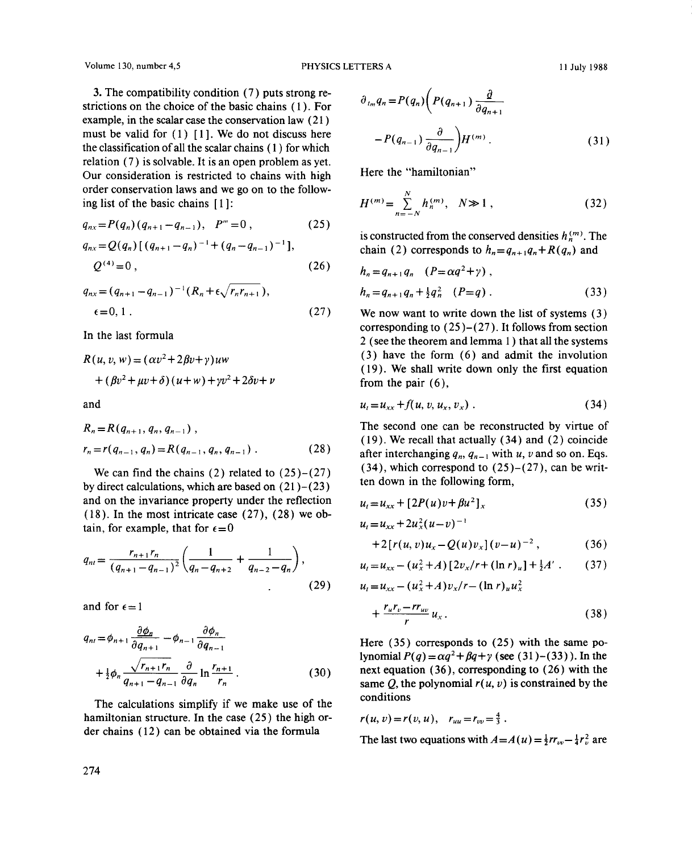Volume 130, number 4,5 PHYSICS LETTERS A <sup>11</sup> July 1988

3. The compatibility condition  $(7)$  puts strong restrictions on the choice of the basic chains (1). For example, in the scalar case the conservation law (21) must be valid for  $(1)$  [1]. We do not discuss here the classification of all the scalar chains (1) for which relation (7) is solvable. It is an open problem as yet.<br>Our consideration is restricted to chains with high Our consideration is restricted to chains with high order conservation laws and we go on to the follow-<br> $\frac{N}{N}$ ing list of the basic chains  $[1]$ :

$$
q_{nx} = P(q_n) (q_{n+1} - q_{n-1}), \quad P''' = 0 , \qquad (25)
$$

$$
q_{nx} = Q(q_n) [ (q_{n+1} - q_n)^{-1} + (q_n - q_{n-1})^{-1} ],
$$
  
\n
$$
Q^{(4)} = 0,
$$
  
\n(c) (26)  
\n(a)  $h_n = q_{n+1} q_n (P = \alpha q^2 + \gamma),$   
\n(b) constructed from the Conserved densities  $h_n^2$ ′. The chain (2) corresponds to  $h_n = q_{n+1} q_n + R(q_n)$  and

$$
q_{nx} = (q_{n+1} - q_{n-1})^{-1} (R_n + \epsilon \sqrt{r_n r_{n+1}}),
$$
  

$$
\epsilon = 0, 1.
$$
 (27)

$$
R(u, v, w) = (\alpha v^2 + 2\beta v + \gamma)uw
$$
\n
$$
+ (\beta v^2 + \mu v + \delta) (u + w) + \gamma v^2 + 2\delta v + v
$$
\n
$$
and
$$
\n
$$
u = u
$$

$$
R_n = R(q_{n+1}, q_n, q_{n-1}),
$$
  
\n
$$
r_n = r(q_{n-1}, q_n) = R(q_{n-1}, q_n, q_{n-1}).
$$
\n(28)

We can find the chains (2) related to  $(25)-(27)$  (34), which correspond to (25)-<br>calculations which are bessed on (21), (23) ten down in the following form, by direct calculations, which are based on  $(21)–(23)$ and on the invariance property under the reflection  $\mu$ (18). In the most intricate case (27), (28) we obtain, for example, that for  $\epsilon = 0$  *u* 

$$
q_{nl} = \frac{r_{n+1}r_n}{(q_{n+1} - q_{n-1})^2} \left( \frac{1}{q_n - q_{n+2}} + \frac{1}{q_{n-2} - q_n} \right),
$$
\n(29)

and for  $\epsilon=1$ 

$$
q_{ni} = \phi_{n+1} \frac{\partial \phi_n}{\partial q_{n+1}} - \phi_{n-1} \frac{\partial \phi_n}{\partial q_{n-1}}
$$
  
+ 
$$
\frac{1}{2} \phi_n \frac{\sqrt{r_{n+1} r_n}}{q_{n+1} - q_{n-1}} \frac{\partial}{\partial q_n} \ln \frac{r_{n+1}}{r_n} .
$$
 (30)

The calculations simplify if we make use of the hamiltonian structure. In the case (25) the high order chains (12) can be obtained via the formula

$$
\partial_{t_m} q_n = P(q_n) \left( P(q_{n+1}) \frac{\partial}{\partial q_{n+1}} - P(q_{n-1}) \frac{\partial}{\partial q_{n-1}} \right) H^{(m)}.
$$
\n(31)

$$
H^{(m)} = \sum_{n=-N}^{N} h_n^{(m)}, \quad N \gg 1 , \tag{32}
$$

$$
Q^{(4)} = 0, \qquad (26) \qquad h_n = q_{n+1}q_n \quad (P = \alpha q^2 + \gamma),
$$
  
\n
$$
q_{nx} = (q_{n+1} - q_{n-1})^{-1}(R_n + \epsilon \sqrt{r_n r_{n+1}}), \qquad h_n = q_{n+1}q_n + \frac{1}{2}q_n^2 \quad (P = q). \qquad (33)
$$

We now want to write down the list of systems (3) In the last formula<br>
In the last formula  $\frac{2(1.60 \text{ m/s})}{2(1.60 \text{ m})}$  (see the theorem and lemma 1) that all the systems  $(3)$  have the form  $(6)$  and admit the involution (19). We shall write down only the first equation  $\frac{19}{2} + 2\delta v + v$  (19), we shall we

$$
u_t = u_{xx} + f(u, v, u_x, v_x) \tag{34}
$$

 $R_n = R(q_{n+1}, q_n, q_{n-1})$ ,<br>(19) We recall that actually (34) and (2) coincide (19). We recall that actually (34) and (2) coincide after interchanging  $q_n$ ,  $q_{n-1}$  with u, v and so on. Eqs. (34), which correspond to (25)–(27), can be writ-

$$
u_t = u_{xx} + [2P(u)v + \beta u^2]_x \tag{35}
$$

$$
u_t = u_{xx} + 2u_x^2(u-v)^{-1}
$$
  
+2[r(u, v)u\_x - Q(u)v\_x](v-u)^{-2}, \t(36)

$$
u_t = u_{xx} - (u_x^2 + A) [2v_x/r + (\ln r)_u] + \frac{1}{2}A' \ . \tag{37}
$$

(29) 
$$
u_t = u_{xx} - (u_x^2 + A)v_x/r - (\ln r)_u u_x^2
$$

$$
+\frac{r_u r_v - r r_{uv}}{r} u_x \,.
$$

**<sup>1</sup>** Here (35) corresponds to (25) with the same p0- *lynomialP(q)=aq*  $2^2 + 64 + y$  (see (31) – (33)). In the  $\frac{d^2 \varphi_n}{d_{n+1} - d_{n-1}} \frac{d^2 \varphi_n}{d^2 n}$  in  $\frac{d^n}{d^n}$ . (30) next equation (26), corresponding  $r(u, v)$  is constrained by the conditions

$$
r(u, v) = r(v, u),
$$
  $r_{uu} = r_{vv} = \frac{4}{3}$ .

The last two equations with*A =A(u) = ~rr~—~* are